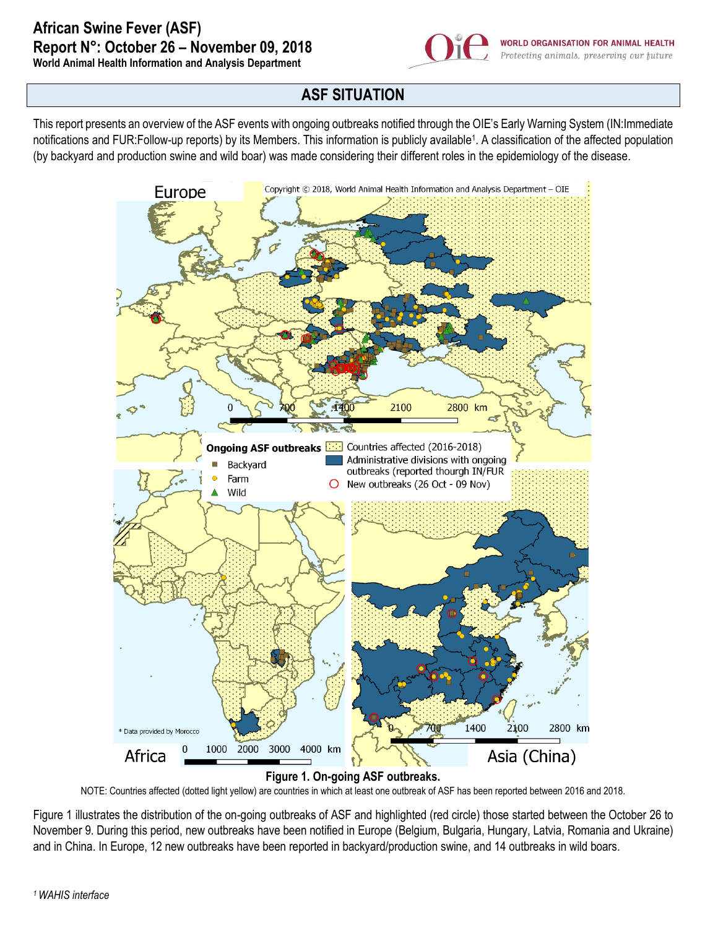

**ASF SITUATION**

This report presents an overview of the ASF events with ongoing outbreaks notified through the OIE's Early Warning System (IN:Immediate notifications and FUR:Follow-up reports) by its Members. This information is publicly available<sup>1</sup>. A classification of the affected population (by backyard and production swine and wild boar) was made considering their different roles in the epidemiology of the disease.



NOTE: Countries affected (dotted light yellow) are countries in which at least one outbreak of ASF has been reported between 2016 and 2018.

Figure 1 illustrates the distribution of the on-going outbreaks of ASF and highlighted (red circle) those started between the October 26 to November 9. During this period, new outbreaks have been notified in Europe (Belgium, Bulgaria, Hungary, Latvia, Romania and Ukraine) and in China. In Europe, 12 new outbreaks have been reported in backyard/production swine, and 14 outbreaks in wild boars.